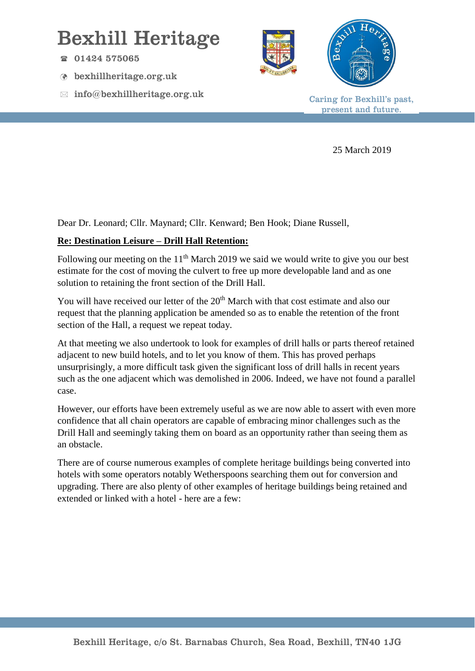## Bexhill Heritage

- $\textcircled{1}$  01424 575065
- bexhillheritage.org.uk
- $\boxtimes$  info@bexhillheritage.org.uk





Caring for Bexhill's past, present and future.

25 March 2019

Dear Dr. Leonard; Cllr. Maynard; Cllr. Kenward; Ben Hook; Diane Russell,

## **Re: Destination Leisure – Drill Hall Retention:**

Following our meeting on the  $11<sup>th</sup>$  March 2019 we said we would write to give you our best estimate for the cost of moving the culvert to free up more developable land and as one solution to retaining the front section of the Drill Hall.

You will have received our letter of the 20<sup>th</sup> March with that cost estimate and also our request that the planning application be amended so as to enable the retention of the front section of the Hall, a request we repeat today.

At that meeting we also undertook to look for examples of drill halls or parts thereof retained adjacent to new build hotels, and to let you know of them. This has proved perhaps unsurprisingly, a more difficult task given the significant loss of drill halls in recent years such as the one adjacent which was demolished in 2006. Indeed, we have not found a parallel case.

However, our efforts have been extremely useful as we are now able to assert with even more confidence that all chain operators are capable of embracing minor challenges such as the Drill Hall and seemingly taking them on board as an opportunity rather than seeing them as an obstacle.

There are of course numerous examples of complete heritage buildings being converted into hotels with some operators notably Wetherspoons searching them out for conversion and upgrading. There are also plenty of other examples of heritage buildings being retained and extended or linked with a hotel - here are a few: